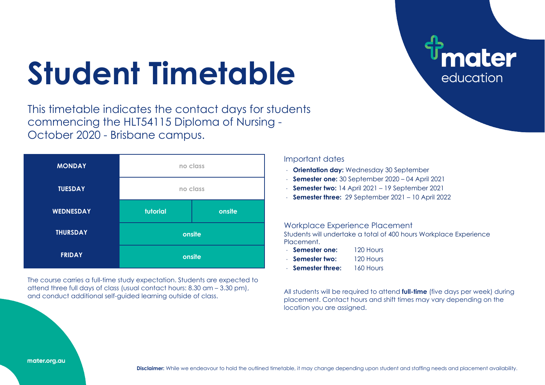## **Student Timetable**

This timetable indicates the contact days for students commencing the HLT54115 Diploma of Nursing - October 2020 - Brisbane campus.



The course carries a full-time study expectation. Students are expected to attend three full days of class (usual contact hours: 8.30 am – 3.30 pm), and conduct additional self-guided learning outside of class.

## Important dates

- ⋅ **Orientation day:** Wednesday 30 September
- ⋅ **Semester one:** 30 September 2020 04 April 2021
- ⋅ **Semester two:** 14 April 2021 19 September 2021
- ⋅ **Semester three:** 29 September 2021 10 April 2022

## Workplace Experience Placement

Students will undertake a total of 400 hours Workplace Experience **Placement** 

- ⋅ **Semester one:** 120 Hours
- ⋅ **Semester two:** 120 Hours
- ⋅ **Semester three:** 160 Hours

All students will be required to attend **full-time** (five days per week) during placement. Contact hours and shift times may vary depending on the location you are assigned.

ater

education

mater.org.au